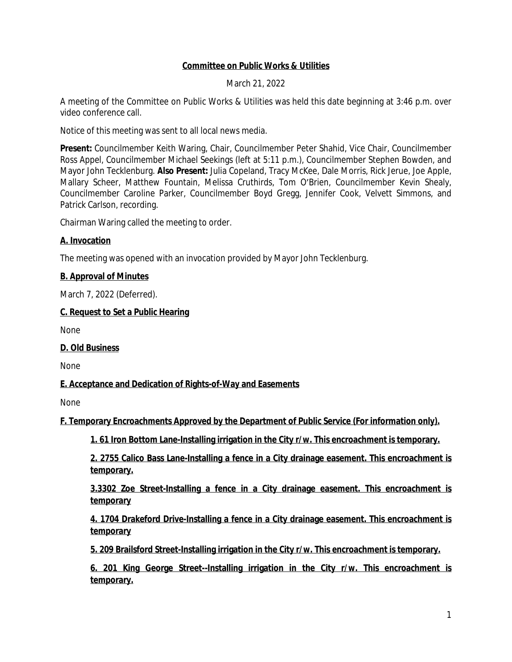## **Committee on Public Works & Utilities**

March 21, 2022

A meeting of the Committee on Public Works & Utilities was held this date beginning at 3:46 p.m. over video conference call.

Notice of this meeting was sent to all local news media.

**Present:** Councilmember Keith Waring, Chair, Councilmember Peter Shahid, Vice Chair, Councilmember Ross Appel, Councilmember Michael Seekings (left at 5:11 p.m.), Councilmember Stephen Bowden, and Mayor John Tecklenburg. **Also Present:** Julia Copeland, Tracy McKee, Dale Morris, Rick Jerue, Joe Apple, Mallary Scheer, Matthew Fountain, Melissa Cruthirds, Tom O'Brien, Councilmember Kevin Shealy, Councilmember Caroline Parker, Councilmember Boyd Gregg, Jennifer Cook, Velvett Simmons, and Patrick Carlson, recording.

Chairman Waring called the meeting to order.

### **A. Invocation**

The meeting was opened with an invocation provided by Mayor John Tecklenburg.

### **B. Approval of Minutes**

March 7, 2022 (Deferred).

### **C. Request to Set a Public Hearing**

None

**D. Old Business**

None

## **E. Acceptance and Dedication of Rights-of-Way and Easements**

None

**F. Temporary Encroachments Approved by the Department of Public Service (For information only).**

**1. 61 Iron Bottom Lane-Installing irrigation in the City r/w. This encroachment is temporary.**

**2. 2755 Calico Bass Lane-Installing a fence in a City drainage easement. This encroachment is temporary.**

**3.3302 Zoe Street-Installing a fence in a City drainage easement. This encroachment is temporary**

**4. 1704 Drakeford Drive-Installing a fence in a City drainage easement. This encroachment is temporary**

**5. 209 Brailsford Street-Installing irrigation in the City r/w. This encroachment is temporary.**

**6. 201 King George Street--Installing irrigation in the City r/w. This encroachment is temporary.**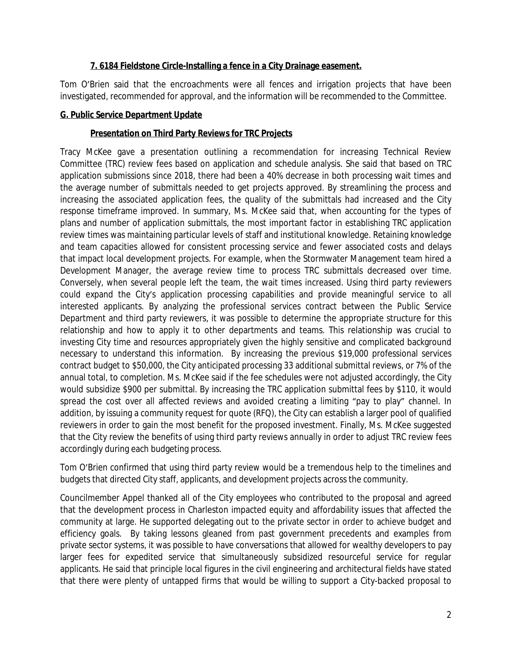## **7. 6184 Fieldstone Circle-Installing a fence in a City Drainage easement.**

Tom O'Brien said that the encroachments were all fences and irrigation projects that have been investigated, recommended for approval, and the information will be recommended to the Committee.

### **G. Public Service Department Update**

## **Presentation on Third Party Reviews for TRC Projects**

Tracy McKee gave a presentation outlining a recommendation for increasing Technical Review Committee (TRC) review fees based on application and schedule analysis. She said that based on TRC application submissions since 2018, there had been a 40% decrease in both processing wait times and the average number of submittals needed to get projects approved. By streamlining the process and increasing the associated application fees, the quality of the submittals had increased and the City response timeframe improved. In summary, Ms. McKee said that, when accounting for the types of plans and number of application submittals, the most important factor in establishing TRC application review times was maintaining particular levels of staff and institutional knowledge. Retaining knowledge and team capacities allowed for consistent processing service and fewer associated costs and delays that impact local development projects. For example, when the Stormwater Management team hired a Development Manager, the average review time to process TRC submittals decreased over time. Conversely, when several people left the team, the wait times increased. Using third party reviewers could expand the City's application processing capabilities and provide meaningful service to all interested applicants. By analyzing the professional services contract between the Public Service Department and third party reviewers, it was possible to determine the appropriate structure for this relationship and how to apply it to other departments and teams. This relationship was crucial to investing City time and resources appropriately given the highly sensitive and complicated background necessary to understand this information. By increasing the previous \$19,000 professional services contract budget to \$50,000, the City anticipated processing 33 additional submittal reviews, or 7% of the annual total, to completion. Ms. McKee said if the fee schedules were not adjusted accordingly, the City would subsidize \$900 per submittal. By increasing the TRC application submittal fees by \$110, it would spread the cost over all affected reviews and avoided creating a limiting "pay to play" channel. In addition, by issuing a community request for quote (RFQ), the City can establish a larger pool of qualified reviewers in order to gain the most benefit for the proposed investment. Finally, Ms. McKee suggested that the City review the benefits of using third party reviews annually in order to adjust TRC review fees accordingly during each budgeting process.

Tom O'Brien confirmed that using third party review would be a tremendous help to the timelines and budgets that directed City staff, applicants, and development projects across the community.

Councilmember Appel thanked all of the City employees who contributed to the proposal and agreed that the development process in Charleston impacted equity and affordability issues that affected the community at large. He supported delegating out to the private sector in order to achieve budget and efficiency goals. By taking lessons gleaned from past government precedents and examples from private sector systems, it was possible to have conversations that allowed for wealthy developers to pay larger fees for expedited service that simultaneously subsidized resourceful service for regular applicants. He said that principle local figures in the civil engineering and architectural fields have stated that there were plenty of untapped firms that would be willing to support a City-backed proposal to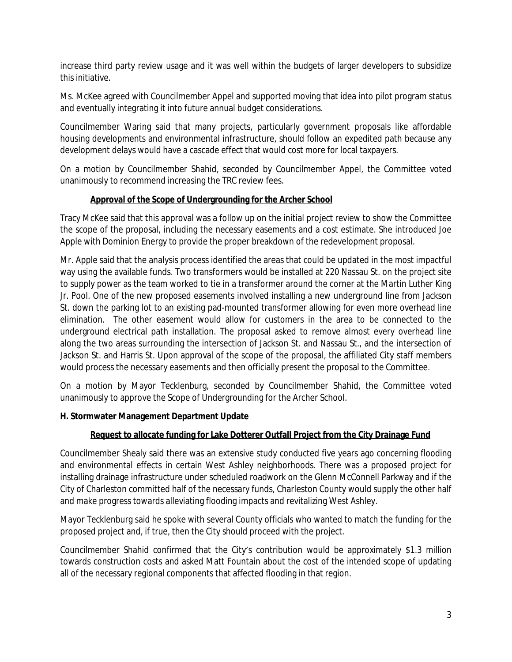increase third party review usage and it was well within the budgets of larger developers to subsidize this initiative.

Ms. McKee agreed with Councilmember Appel and supported moving that idea into pilot program status and eventually integrating it into future annual budget considerations.

Councilmember Waring said that many projects, particularly government proposals like affordable housing developments and environmental infrastructure, should follow an expedited path because any development delays would have a cascade effect that would cost more for local taxpayers.

On a motion by Councilmember Shahid, seconded by Councilmember Appel, the Committee voted unanimously to recommend increasing the TRC review fees.

## **Approval of the Scope of Undergrounding for the Archer School**

Tracy McKee said that this approval was a follow up on the initial project review to show the Committee the scope of the proposal, including the necessary easements and a cost estimate. She introduced Joe Apple with Dominion Energy to provide the proper breakdown of the redevelopment proposal.

Mr. Apple said that the analysis process identified the areas that could be updated in the most impactful way using the available funds. Two transformers would be installed at 220 Nassau St. on the project site to supply power as the team worked to tie in a transformer around the corner at the Martin Luther King Jr. Pool. One of the new proposed easements involved installing a new underground line from Jackson St. down the parking lot to an existing pad-mounted transformer allowing for even more overhead line elimination. The other easement would allow for customers in the area to be connected to the underground electrical path installation. The proposal asked to remove almost every overhead line along the two areas surrounding the intersection of Jackson St. and Nassau St., and the intersection of Jackson St. and Harris St. Upon approval of the scope of the proposal, the affiliated City staff members would process the necessary easements and then officially present the proposal to the Committee.

On a motion by Mayor Tecklenburg, seconded by Councilmember Shahid, the Committee voted unanimously to approve the Scope of Undergrounding for the Archer School.

## **H. Stormwater Management Department Update**

#### **Request to allocate funding for Lake Dotterer Outfall Project from the City Drainage Fund**

Councilmember Shealy said there was an extensive study conducted five years ago concerning flooding and environmental effects in certain West Ashley neighborhoods. There was a proposed project for installing drainage infrastructure under scheduled roadwork on the Glenn McConnell Parkway and if the City of Charleston committed half of the necessary funds, Charleston County would supply the other half and make progress towards alleviating flooding impacts and revitalizing West Ashley.

Mayor Tecklenburg said he spoke with several County officials who wanted to match the funding for the proposed project and, if true, then the City should proceed with the project.

Councilmember Shahid confirmed that the City's contribution would be approximately \$1.3 million towards construction costs and asked Matt Fountain about the cost of the intended scope of updating all of the necessary regional components that affected flooding in that region.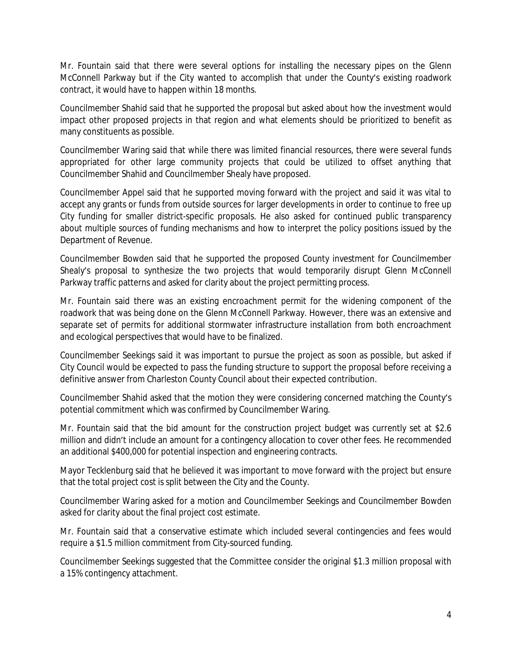Mr. Fountain said that there were several options for installing the necessary pipes on the Glenn McConnell Parkway but if the City wanted to accomplish that under the County's existing roadwork contract, it would have to happen within 18 months.

Councilmember Shahid said that he supported the proposal but asked about how the investment would impact other proposed projects in that region and what elements should be prioritized to benefit as many constituents as possible.

Councilmember Waring said that while there was limited financial resources, there were several funds appropriated for other large community projects that could be utilized to offset anything that Councilmember Shahid and Councilmember Shealy have proposed.

Councilmember Appel said that he supported moving forward with the project and said it was vital to accept any grants or funds from outside sources for larger developments in order to continue to free up City funding for smaller district-specific proposals. He also asked for continued public transparency about multiple sources of funding mechanisms and how to interpret the policy positions issued by the Department of Revenue.

Councilmember Bowden said that he supported the proposed County investment for Councilmember Shealy's proposal to synthesize the two projects that would temporarily disrupt Glenn McConnell Parkway traffic patterns and asked for clarity about the project permitting process.

Mr. Fountain said there was an existing encroachment permit for the widening component of the roadwork that was being done on the Glenn McConnell Parkway. However, there was an extensive and separate set of permits for additional stormwater infrastructure installation from both encroachment and ecological perspectives that would have to be finalized.

Councilmember Seekings said it was important to pursue the project as soon as possible, but asked if City Council would be expected to pass the funding structure to support the proposal before receiving a definitive answer from Charleston County Council about their expected contribution.

Councilmember Shahid asked that the motion they were considering concerned matching the County's potential commitment which was confirmed by Councilmember Waring.

Mr. Fountain said that the bid amount for the construction project budget was currently set at \$2.6 million and didn't include an amount for a contingency allocation to cover other fees. He recommended an additional \$400,000 for potential inspection and engineering contracts.

Mayor Tecklenburg said that he believed it was important to move forward with the project but ensure that the total project cost is split between the City and the County.

Councilmember Waring asked for a motion and Councilmember Seekings and Councilmember Bowden asked for clarity about the final project cost estimate.

Mr. Fountain said that a conservative estimate which included several contingencies and fees would require a \$1.5 million commitment from City-sourced funding.

Councilmember Seekings suggested that the Committee consider the original \$1.3 million proposal with a 15% contingency attachment.